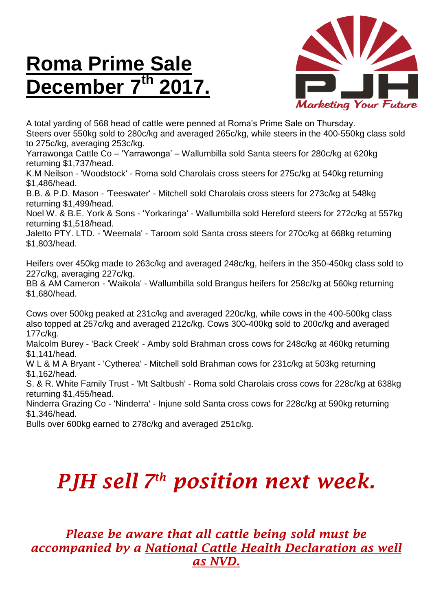## **Roma Prime Sale December 7 th 2017.**



A total yarding of 568 head of cattle were penned at Roma's Prime Sale on Thursday. Steers over 550kg sold to 280c/kg and averaged 265c/kg, while steers in the 400-550kg class sold to 275c/kg, averaging 253c/kg.

Yarrawonga Cattle Co – 'Yarrawonga' – Wallumbilla sold Santa steers for 280c/kg at 620kg returning \$1,737/head.

K.M Neilson - 'Woodstock' - Roma sold Charolais cross steers for 275c/kg at 540kg returning \$1,486/head.

B.B. & P.D. Mason - 'Teeswater' - Mitchell sold Charolais cross steers for 273c/kg at 548kg returning \$1,499/head.

Noel W. & B.E. York & Sons - 'Yorkaringa' - Wallumbilla sold Hereford steers for 272c/kg at 557kg returning \$1,518/head.

Jaletto PTY. LTD. - 'Weemala' - Taroom sold Santa cross steers for 270c/kg at 668kg returning \$1,803/head.

Heifers over 450kg made to 263c/kg and averaged 248c/kg, heifers in the 350-450kg class sold to 227c/kg, averaging 227c/kg.

BB & AM Cameron - 'Waikola' - Wallumbilla sold Brangus heifers for 258c/kg at 560kg returning \$1,680/head.

Cows over 500kg peaked at 231c/kg and averaged 220c/kg, while cows in the 400-500kg class also topped at 257c/kg and averaged 212c/kg. Cows 300-400kg sold to 200c/kg and averaged 177c/kg.

Malcolm Burey - 'Back Creek' - Amby sold Brahman cross cows for 248c/kg at 460kg returning \$1,141/head.

W L & M A Bryant - 'Cytherea' - Mitchell sold Brahman cows for 231c/kg at 503kg returning \$1,162/head.

S. & R. White Family Trust - 'Mt Saltbush' - Roma sold Charolais cross cows for 228c/kg at 638kg returning \$1,455/head.

Ninderra Grazing Co - 'Ninderra' - Injune sold Santa cross cows for 228c/kg at 590kg returning \$1,346/head.

Bulls over 600kg earned to 278c/kg and averaged 251c/kg.

## *PJH sell 7 th position next week.*

*Please be aware that all cattle being sold must be accompanied by a National Cattle Health Declaration as well as NVD.*